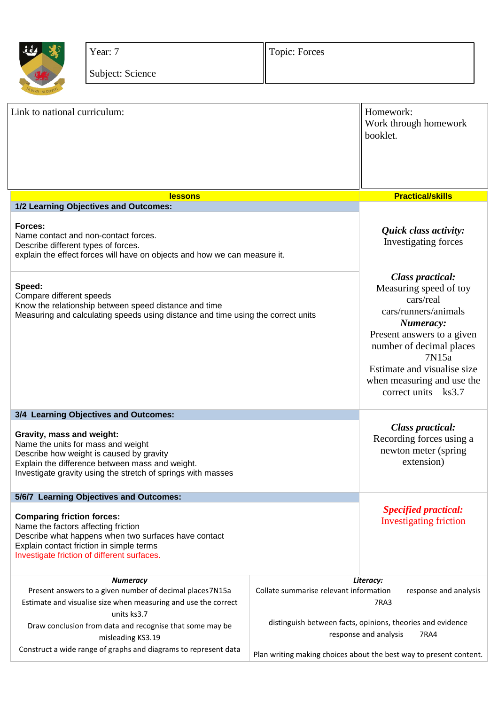

Year: 7

Subject: Science

Topic: Forces

| Link to national curriculum:                                                                                                                                                                                                   |                                                                                                    | Homework:<br>Work through homework<br>booklet.                                                                                                                                                                                                             |
|--------------------------------------------------------------------------------------------------------------------------------------------------------------------------------------------------------------------------------|----------------------------------------------------------------------------------------------------|------------------------------------------------------------------------------------------------------------------------------------------------------------------------------------------------------------------------------------------------------------|
| <b>lessons</b>                                                                                                                                                                                                                 |                                                                                                    | <b>Practical/skills</b>                                                                                                                                                                                                                                    |
| 1/2 Learning Objectives and Outcomes:                                                                                                                                                                                          |                                                                                                    |                                                                                                                                                                                                                                                            |
| Forces:<br>Name contact and non-contact forces.<br>Describe different types of forces.<br>explain the effect forces will have on objects and how we can measure it.                                                            |                                                                                                    | Quick class activity:<br>Investigating forces                                                                                                                                                                                                              |
| Speed:<br>Compare different speeds<br>Know the relationship between speed distance and time<br>Measuring and calculating speeds using distance and time using the correct units                                                |                                                                                                    | <b>Class practical:</b><br>Measuring speed of toy<br>cars/real<br>cars/runners/animals<br>Numeracy:<br>Present answers to a given<br>number of decimal places<br>7N15a<br>Estimate and visualise size<br>when measuring and use the<br>correct units ks3.7 |
| 3/4 Learning Objectives and Outcomes:                                                                                                                                                                                          |                                                                                                    |                                                                                                                                                                                                                                                            |
| Gravity, mass and weight:<br>Name the units for mass and weight<br>Describe how weight is caused by gravity<br>Explain the difference between mass and weight.<br>Investigate gravity using the stretch of springs with masses |                                                                                                    | <b>Class practical:</b><br>Recording forces using a<br>newton meter (spring<br>extension)                                                                                                                                                                  |
| 5/6/7 Learning Objectives and Outcomes:                                                                                                                                                                                        |                                                                                                    |                                                                                                                                                                                                                                                            |
| <b>Comparing friction forces:</b><br>Name the factors affecting friction<br>Describe what happens when two surfaces have contact<br>Explain contact friction in simple terms<br>Investigate friction of different surfaces.    |                                                                                                    | <b>Specified practical:</b><br><b>Investigating friction</b>                                                                                                                                                                                               |
| <b>Numeracy</b>                                                                                                                                                                                                                | Literacy:                                                                                          |                                                                                                                                                                                                                                                            |
| Present answers to a given number of decimal places7N15a<br>Estimate and visualise size when measuring and use the correct                                                                                                     | Collate summarise relevant information<br>response and analysis<br>7RA3                            |                                                                                                                                                                                                                                                            |
| units ks3.7                                                                                                                                                                                                                    |                                                                                                    |                                                                                                                                                                                                                                                            |
| Draw conclusion from data and recognise that some may be<br>misleading KS3.19                                                                                                                                                  | distinguish between facts, opinions, theories and evidence<br>response and analysis<br><b>7RA4</b> |                                                                                                                                                                                                                                                            |
| Construct a wide range of graphs and diagrams to represent data                                                                                                                                                                |                                                                                                    | Plan writing making choices about the best way to present content.                                                                                                                                                                                         |